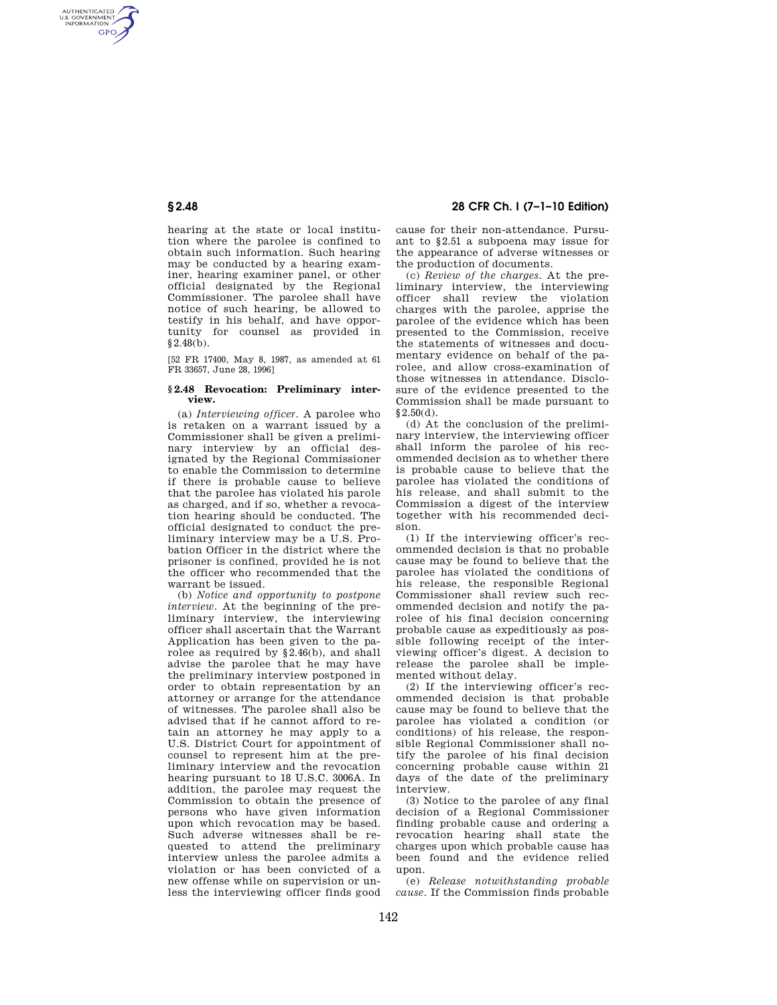AUTHENTICATED<br>U.S. GOVERNMENT<br>INFORMATION **GPO** 

> hearing at the state or local institution where the parolee is confined to obtain such information. Such hearing may be conducted by a hearing examiner, hearing examiner panel, or other official designated by the Regional Commissioner. The parolee shall have notice of such hearing, be allowed to testify in his behalf, and have opportunity for counsel as provided in §2.48(b).

[52 FR 17400, May 8, 1987, as amended at 61 FR 33657, June 28, 1996]

## **§ 2.48 Revocation: Preliminary interview.**

(a) *Interviewing officer.* A parolee who is retaken on a warrant issued by a Commissioner shall be given a preliminary interview by an official designated by the Regional Commissioner to enable the Commission to determine if there is probable cause to believe that the parolee has violated his parole as charged, and if so, whether a revocation hearing should be conducted. The official designated to conduct the preliminary interview may be a U.S. Probation Officer in the district where the prisoner is confined, provided he is not the officer who recommended that the warrant be issued.

(b) *Notice and opportunity to postpone interview.* At the beginning of the preliminary interview, the interviewing officer shall ascertain that the Warrant Application has been given to the parolee as required by §2.46(b), and shall advise the parolee that he may have the preliminary interview postponed in order to obtain representation by an attorney or arrange for the attendance of witnesses. The parolee shall also be advised that if he cannot afford to retain an attorney he may apply to a U.S. District Court for appointment of counsel to represent him at the preliminary interview and the revocation hearing pursuant to 18 U.S.C. 3006A. In addition, the parolee may request the Commission to obtain the presence of persons who have given information upon which revocation may be based. Such adverse witnesses shall be requested to attend the preliminary interview unless the parolee admits a violation or has been convicted of a new offense while on supervision or unless the interviewing officer finds good

# **§ 2.48 28 CFR Ch. I (7–1–10 Edition)**

cause for their non-attendance. Pursuant to §2.51 a subpoena may issue for the appearance of adverse witnesses or the production of documents.

(c) *Review of the charges.* At the preliminary interview, the interviewing officer shall review the violation charges with the parolee, apprise the parolee of the evidence which has been presented to the Commission, receive the statements of witnesses and documentary evidence on behalf of the parolee, and allow cross-examination of those witnesses in attendance. Disclosure of the evidence presented to the Commission shall be made pursuant to  $§2.50(d).$ 

(d) At the conclusion of the preliminary interview, the interviewing officer shall inform the parolee of his recommended decision as to whether there is probable cause to believe that the parolee has violated the conditions of his release, and shall submit to the Commission a digest of the interview together with his recommended decision.

(1) If the interviewing officer's recommended decision is that no probable cause may be found to believe that the parolee has violated the conditions of his release, the responsible Regional Commissioner shall review such recommended decision and notify the parolee of his final decision concerning probable cause as expeditiously as possible following receipt of the interviewing officer's digest. A decision to release the parolee shall be implemented without delay.

(2) If the interviewing officer's recommended decision is that probable cause may be found to believe that the parolee has violated a condition (or conditions) of his release, the responsible Regional Commissioner shall notify the parolee of his final decision concerning probable cause within 21 days of the date of the preliminary interview.

(3) Notice to the parolee of any final decision of a Regional Commissioner finding probable cause and ordering a revocation hearing shall state the charges upon which probable cause has been found and the evidence relied upon.

(e) *Release notwithstanding probable cause.* If the Commission finds probable